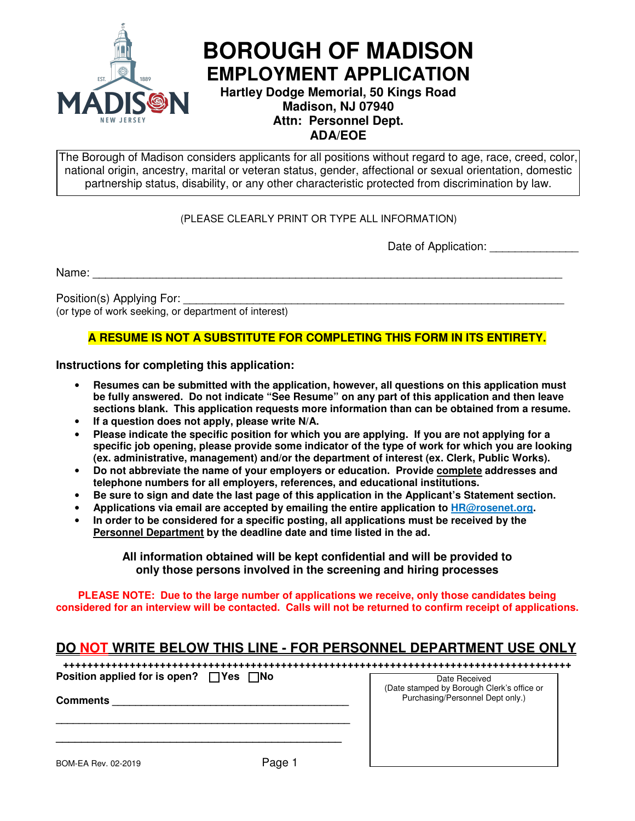

# **BOROUGH OF MADISON EMPLOYMENT APPLICATION**

**Hartley Dodge Memorial, 50 Kings Road Madison, NJ 07940 Attn: Personnel Dept. ADA/EOE** 

The Borough of Madison considers applicants for all positions without regard to age, race, creed, color, national origin, ancestry, marital or veteran status, gender, affectional or sexual orientation, domestic partnership status, disability, or any other characteristic protected from discrimination by law.

#### (PLEASE CLEARLY PRINT OR TYPE ALL INFORMATION)

Date of Application:

Name: \_\_\_\_\_\_\_\_\_\_\_\_\_\_\_\_\_\_\_\_\_\_\_\_\_\_\_\_\_\_\_\_\_\_\_\_\_\_\_\_\_\_\_\_\_\_\_\_\_\_\_\_\_\_\_\_\_\_\_\_\_\_\_\_\_\_\_\_\_\_\_\_\_\_

Position(s) Applying For:

(or type of work seeking, or department of interest)

#### **A RESUME IS NOT A SUBSTITUTE FOR COMPLETING THIS FORM IN ITS ENTIRETY.**

**Instructions for completing this application:** 

- **Resumes can be submitted with the application, however, all questions on this application must be fully answered. Do not indicate "See Resume" on any part of this application and then leave sections blank. This application requests more information than can be obtained from a resume.**
- If a question does not apply, please write N/A.
- **Please indicate the specific position for which you are applying. If you are not applying for a specific job opening, please provide some indicator of the type of work for which you are looking (ex. administrative, management) and/or the department of interest (ex. Clerk, Public Works).**
- **Do not abbreviate the name of your employers or education. Provide complete addresses and telephone numbers for all employers, references, and educational institutions.**
- **Be sure to sign and date the last page of this application in the Applicant's Statement section.**
- **Applications via email are accepted by emailing the entire application to HR@rosenet.org.**
- **In order to be considered for a specific posting, all applications must be received by the Personnel Department by the deadline date and time listed in the ad.**

**All information obtained will be kept confidential and will be provided to only those persons involved in the screening and hiring processes** 

**PLEASE NOTE: Due to the large number of applications we receive, only those candidates being considered for an interview will be contacted. Calls will not be returned to confirm receipt of applications.**

### **DO NOT WRITE BELOW THIS LINE - FOR PERSONNEL DEPARTMENT USE ONLY**

| Position applied for is open? $\Box$ Yes $\Box$ No | Date Received<br>(Date stamped by Borough Clerk's office or |
|----------------------------------------------------|-------------------------------------------------------------|
| <b>Comments</b>                                    | Purchasing/Personnel Dept only.)                            |
|                                                    |                                                             |
|                                                    |                                                             |
|                                                    |                                                             |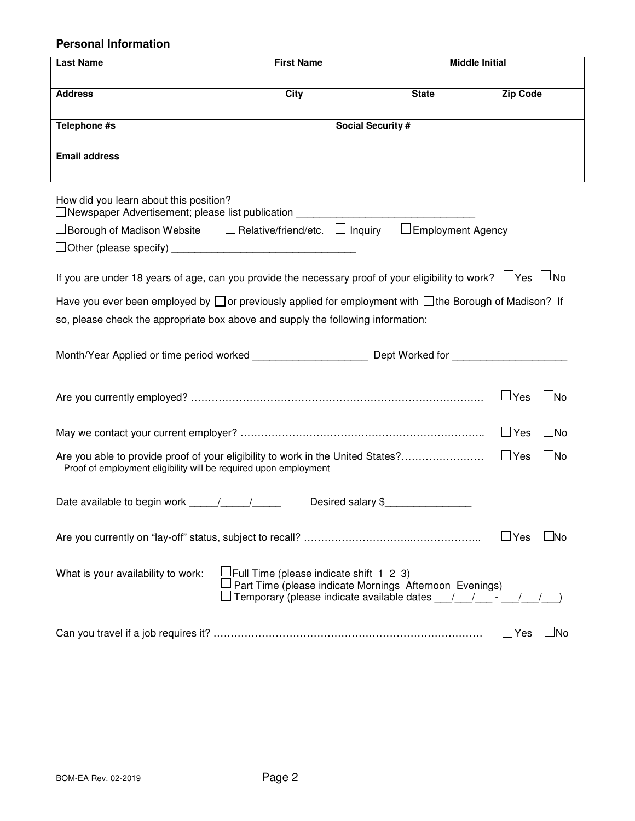#### **Personal Information**

| <b>Last Name</b>                                                                                                           | <b>First Name</b>                              |                                                                                                                                  | <b>Middle Initial</b>     |
|----------------------------------------------------------------------------------------------------------------------------|------------------------------------------------|----------------------------------------------------------------------------------------------------------------------------------|---------------------------|
| <b>Address</b>                                                                                                             | City                                           | <b>State</b>                                                                                                                     | <b>Zip Code</b>           |
| Telephone #s                                                                                                               |                                                | <b>Social Security #</b>                                                                                                         |                           |
| <b>Email address</b>                                                                                                       |                                                |                                                                                                                                  |                           |
| How did you learn about this position?<br>□ Newspaper Advertisement; please list publication _____________________________ |                                                |                                                                                                                                  |                           |
| □Borough of Madison Website   □ Relative/friend/etc.  □ Inquiry   □ Employment Agency                                      |                                                |                                                                                                                                  |                           |
|                                                                                                                            |                                                |                                                                                                                                  |                           |
| If you are under 18 years of age, can you provide the necessary proof of your eligibility to work? $\Box$ Yes $\Box$ No    |                                                |                                                                                                                                  |                           |
| Have you ever been employed by $\Box$ or previously applied for employment with $\Box$ the Borough of Madison? If          |                                                |                                                                                                                                  |                           |
| so, please check the appropriate box above and supply the following information:                                           |                                                |                                                                                                                                  |                           |
| Month/Year Applied or time period worked ________________________ Dept Worked for ________________________                 |                                                |                                                                                                                                  |                           |
|                                                                                                                            |                                                |                                                                                                                                  | $\Box$ Yes<br>$\Box$ No   |
|                                                                                                                            |                                                |                                                                                                                                  | $\square$ No              |
| Proof of employment eligibility will be required upon employment                                                           |                                                |                                                                                                                                  | $\Box$ No                 |
|                                                                                                                            |                                                | Desired salary \$                                                                                                                |                           |
|                                                                                                                            |                                                |                                                                                                                                  | $\sqcup$ Yes<br>l No      |
| What is your availability to work:                                                                                         | $\Box$ Full Time (please indicate shift 1 2 3) | Part Time (please indicate Mornings Afternoon Evenings)<br>Temporary (please indicate available dates ___/___/____- ___/___/___) |                           |
|                                                                                                                            |                                                |                                                                                                                                  | $\Box$ No<br>$\sqcup$ Yes |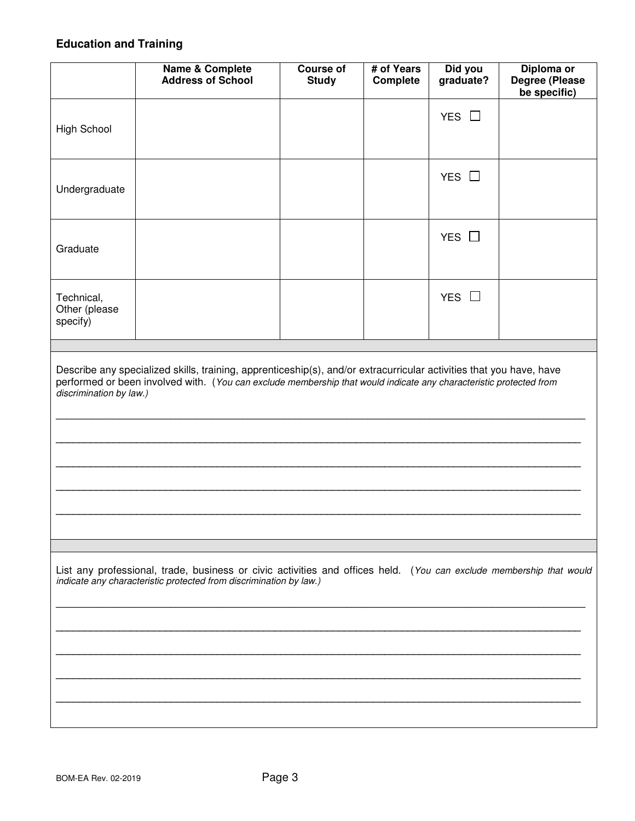## **Education and Training**

|                                                                                                                                                                                                                                                                      | <b>Name &amp; Complete</b><br><b>Address of School</b> | <b>Course of</b><br><b>Study</b> | # of Years<br>Complete | Did you<br>graduate? | Diploma or<br>Degree (Please<br>be specific) |
|----------------------------------------------------------------------------------------------------------------------------------------------------------------------------------------------------------------------------------------------------------------------|--------------------------------------------------------|----------------------------------|------------------------|----------------------|----------------------------------------------|
| High School                                                                                                                                                                                                                                                          |                                                        |                                  |                        | YES $\Box$           |                                              |
| Undergraduate                                                                                                                                                                                                                                                        |                                                        |                                  |                        | YES $\Box$           |                                              |
| Graduate                                                                                                                                                                                                                                                             |                                                        |                                  |                        | YES $\Box$           |                                              |
| Technical,<br>Other (please<br>specify)                                                                                                                                                                                                                              |                                                        |                                  |                        | YES $\Box$           |                                              |
|                                                                                                                                                                                                                                                                      |                                                        |                                  |                        |                      |                                              |
| Describe any specialized skills, training, apprenticeship(s), and/or extracurricular activities that you have, have<br>performed or been involved with. (You can exclude membership that would indicate any characteristic protected from<br>discrimination by law.) |                                                        |                                  |                        |                      |                                              |
| List any professional, trade, business or civic activities and offices held. (You can exclude membership that would<br>indicate any characteristic protected from discrimination by law.)                                                                            |                                                        |                                  |                        |                      |                                              |
|                                                                                                                                                                                                                                                                      |                                                        |                                  |                        |                      |                                              |
|                                                                                                                                                                                                                                                                      |                                                        |                                  |                        |                      |                                              |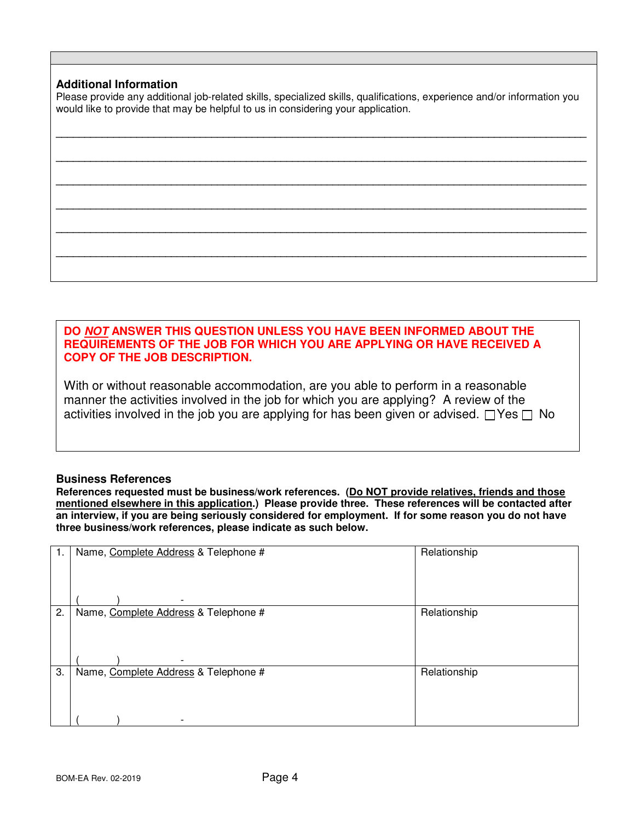#### **Additional Information**

Please provide any additional job-related skills, specialized skills, qualifications, experience and/or information you would like to provide that may be helpful to us in considering your application.

| -- |  |  |
|----|--|--|
|    |  |  |
|    |  |  |
|    |  |  |
|    |  |  |
|    |  |  |
|    |  |  |
|    |  |  |

#### **DO NOT ANSWER THIS QUESTION UNLESS YOU HAVE BEEN INFORMED ABOUT THE REQUIREMENTS OF THE JOB FOR WHICH YOU ARE APPLYING OR HAVE RECEIVED A COPY OF THE JOB DESCRIPTION.**

With or without reasonable accommodation, are you able to perform in a reasonable manner the activities involved in the job for which you are applying? A review of the activities involved in the job you are applying for has been given or advised.  $\Box$  Yes  $\Box$  No

#### **Business References**

**References requested must be business/work references. (Do NOT provide relatives, friends and those mentioned elsewhere in this application.) Please provide three. These references will be contacted after an interview, if you are being seriously considered for employment. If for some reason you do not have three business/work references, please indicate as such below.** 

| 1. | Name, Complete Address & Telephone #                             | Relationship |
|----|------------------------------------------------------------------|--------------|
|    |                                                                  |              |
| 2. | Name, Complete Address & Telephone #                             | Relationship |
| 3. | Name, Complete Address & Telephone #<br>$\overline{\phantom{0}}$ | Relationship |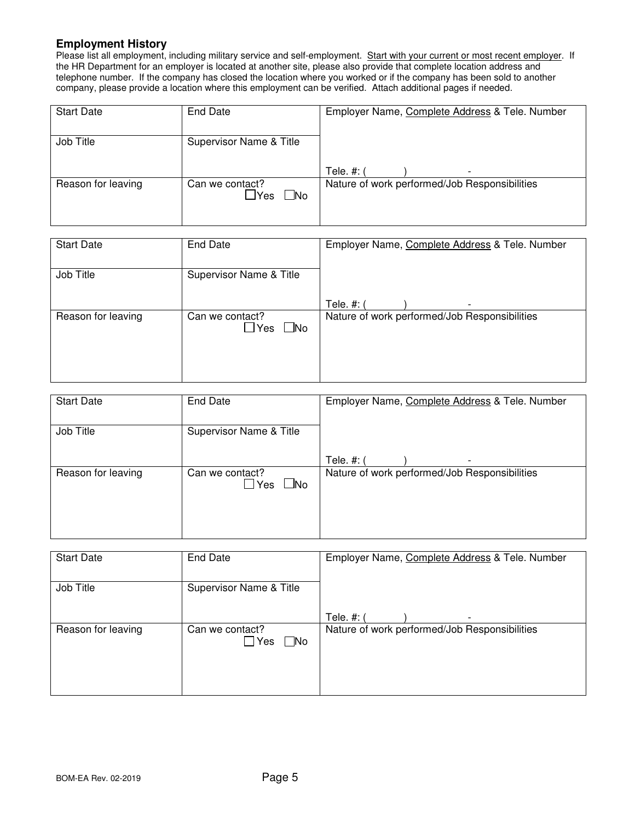#### **Employment History**

Please list all employment, including military service and self-employment. Start with your current or most recent employer. If the HR Department for an employer is located at another site, please also provide that complete location address and telephone number. If the company has closed the location where you worked or if the company has been sold to another company, please provide a location where this employment can be verified. Attach additional pages if needed.

| <b>Start Date</b>  | End Date                                     | Employer Name, Complete Address & Tele. Number |
|--------------------|----------------------------------------------|------------------------------------------------|
| Job Title          | Supervisor Name & Title                      |                                                |
|                    |                                              | Tele. #: (<br>$\overline{\phantom{a}}$         |
| Reason for leaving | Can we contact?<br>$\Box$ No<br>$\sqcup$ Yes | Nature of work performed/Job Responsibilities  |

| <b>Start Date</b>  | <b>End Date</b>                           | Employer Name, Complete Address & Tele. Number |
|--------------------|-------------------------------------------|------------------------------------------------|
| Job Title          | Supervisor Name & Title                   |                                                |
|                    |                                           | Tele. #: (<br>$\overline{\phantom{a}}$         |
| Reason for leaving | Can we contact?<br>$\square$ No<br>പി Yes | Nature of work performed/Job Responsibilities  |

| <b>Start Date</b>  | End Date                                 | Employer Name, Complete Address & Tele. Number |
|--------------------|------------------------------------------|------------------------------------------------|
| Job Title          | Supervisor Name & Title                  |                                                |
|                    |                                          | Tele. #: (<br>$\overline{\phantom{0}}$         |
| Reason for leaving | Can we contact?<br>$\square$ No<br>∟TYes | Nature of work performed/Job Responsibilities  |

| <b>Start Date</b>  | End Date                                      | Employer Name, Complete Address & Tele. Number |
|--------------------|-----------------------------------------------|------------------------------------------------|
| Job Title          | Supervisor Name & Title                       |                                                |
|                    |                                               | Tele. #: (<br>$\overline{\phantom{a}}$         |
| Reason for leaving | Can we contact?<br>$\square$ No<br>$\Box$ Yes | Nature of work performed/Job Responsibilities  |